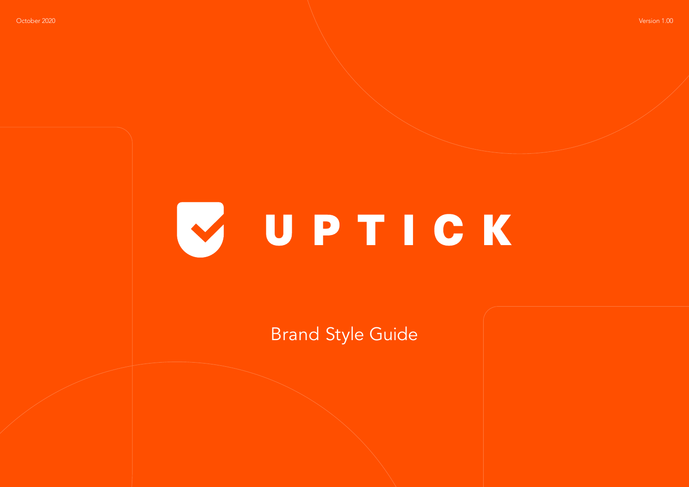## VUPTICK

Brand Style Guide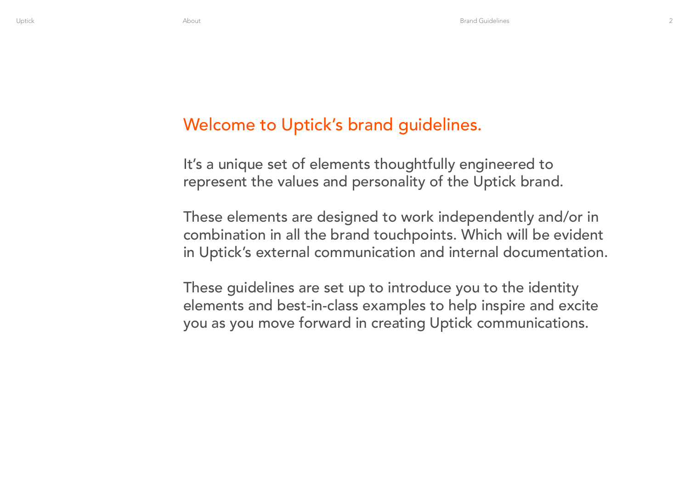### Welcome to Uptick's brand guidelines.

It's a unique set of elements thoughtfully engineered to represent the values and personality of the Uptick brand.

These elements are designed to work independently and/or in combination in all the brand touchpoints. Which will be evident in Uptick's external communication and internal documentation.

These guidelines are set up to introduce you to the identity elements and best-in-class examples to help inspire and excite you as you move forward in creating Uptick communications.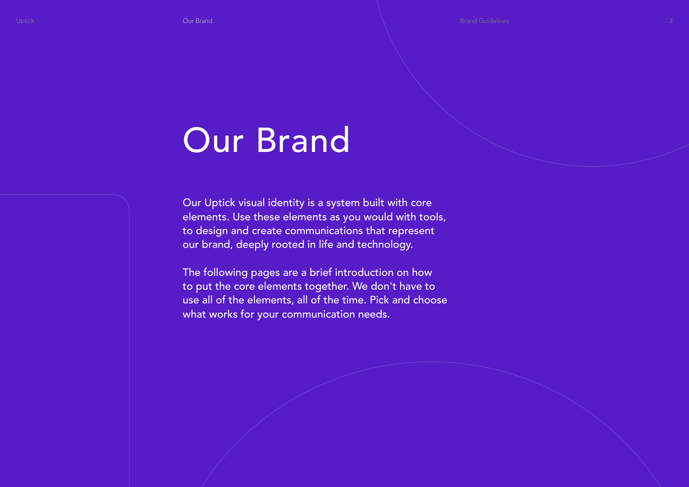### Our Brand

Our Uptick visual identity is a system built with core elements. Use these elements as you would with tools, to design and create communications that represent our brand, deeply rooted in life and technology.

The following pages are a brief introduction on how to put the core elements together. We don't have to use all of the elements, all of the time. Pick and choose what works for your communication needs.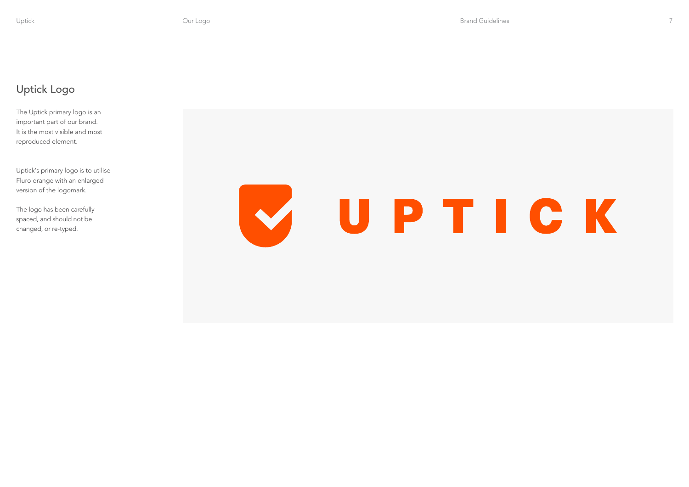#### Uptick Logo

The Uptick primary logo is an important part of our brand. It is the most visible and most reproduced element.

Uptick's primary logo is to utilise Fluro orange with an enlarged version of the logomark.

The logo has been carefully spaced, and should not be changed, or re-typed.

# VUPTICK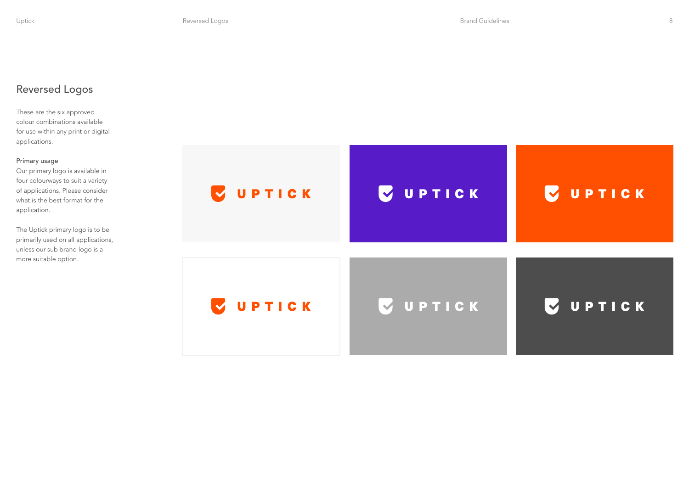#### Reversed Logos

These are the six approved colour combinations available for use within any print or digital applications.

#### Primary usage

Our primary logo is available in four colourways to suit a variety of applications. Please consider what is the best format for the application.

The Uptick primary logo is to be primarily used on all applications, unless our sub brand logo is a more suitable option.

| UPTICK<br>$\blacktriangledown$ | <b>VUPTICK</b> | <b>VUPTICK</b> |
|--------------------------------|----------------|----------------|
| UPTICK<br>$\blacktriangledown$ | VUPTICK        | <b>VUPTICK</b> |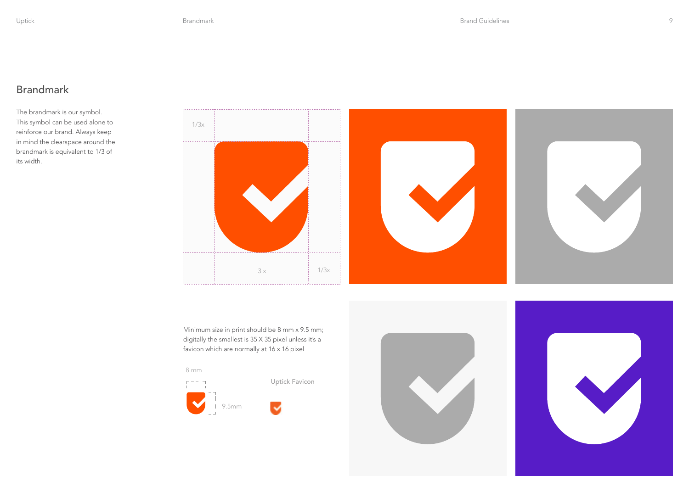#### Brandmark

The brandmark is our symbol. This symbol can be used alone to reinforce our brand. Always keep in mind the clearspace around the brandmark is equivalent to 1/3 of its width.



Minimum size in print should be 8 mm x 9.5 mm; digitally the smallest is 35 X 35 pixel unless it's a favicon which are normally at 16 x 16 pixel



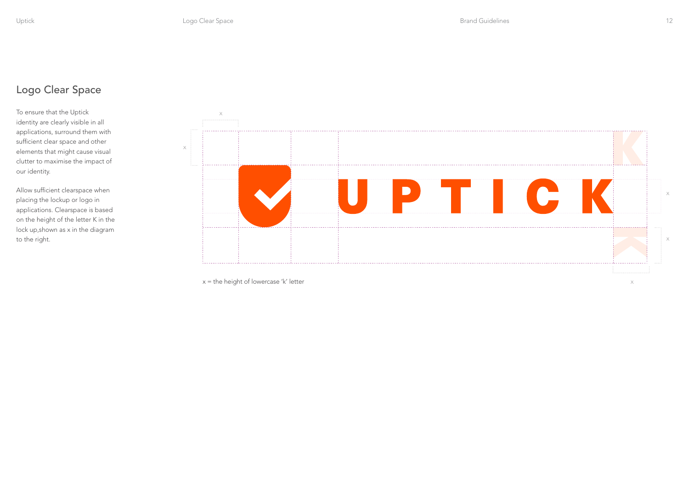#### Logo Clear Space

To ensure that the Uptick identity are clearly visible in all applications, surround them with sufficient clear space and other elements that might cause visual clutter to maximise the impact of our identity.

Allow sufficient clearspace when placing the lockup or logo in applications. Clearspace is based on the height of the letter K in the lock up,shown as x in the diagram to the right.

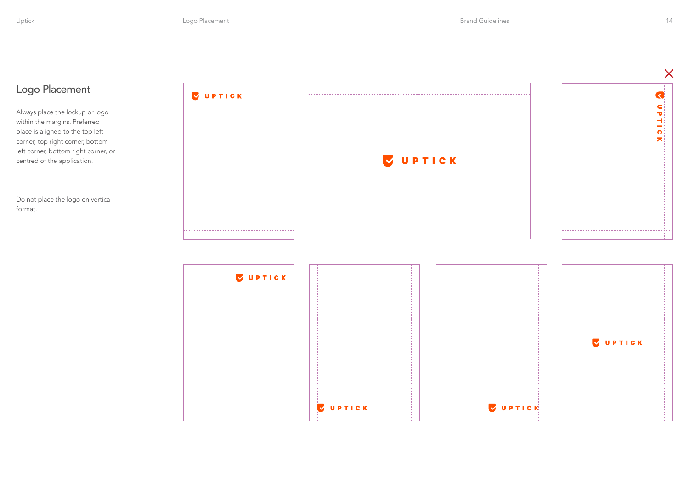#### Logo Placement

Always place the lockup or logo within the margins. Preferred place is aligned to the top left corner, top right corner, bottom left corner, bottom right corner, or centred of the application.

Do not place the logo on vertical format.

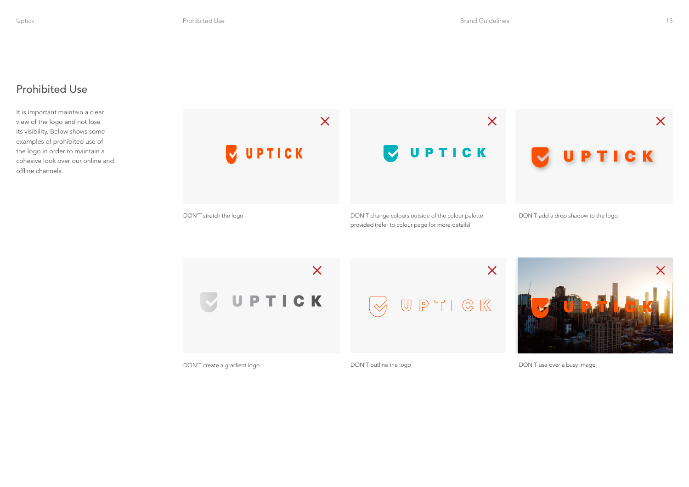#### Prohibited Use

It is important maintain a clear view of the logo and not lose its visibility. Below shows some examples of prohibited use of the logo in order to maintain a cohesive look over our online and offline channels.



 $\overline{\mathsf{X}}$  $\overline{\mathsf{X}}$ UPTICK UPTIGK  $\mathrel{\triangleleft}$ DON'T create a gradient logo de control of the DON'T outline the logo



DON'T use over a busy image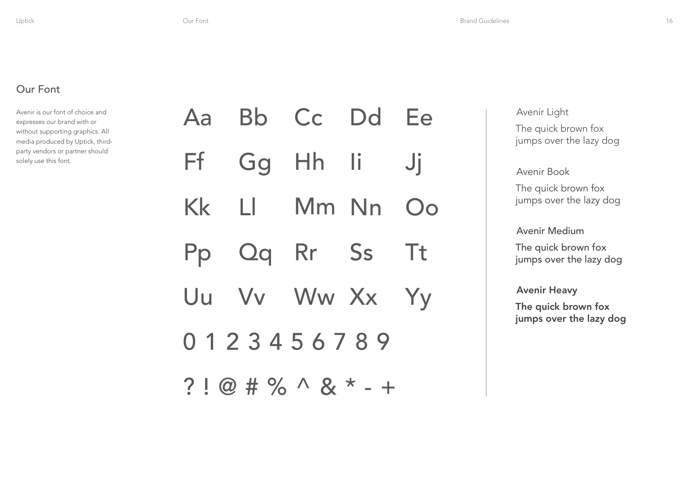#### Our Font

Avenir is our font of choice and expresses our brand with or without supporting graphics. All media produced by Uptick, thirdparty vendors or partner should solely use this font.

|                             |  | Aa Bb Cc Dd Ee |  |  |  |  |
|-----------------------------|--|----------------|--|--|--|--|
|                             |  | Ff Gg Hh Ii Jj |  |  |  |  |
|                             |  | Kk Ll Mm Nn Oo |  |  |  |  |
|                             |  | Pp Qq Rr Ss Tt |  |  |  |  |
|                             |  | Uu Vv Ww Xx Yy |  |  |  |  |
| 0123456789                  |  |                |  |  |  |  |
| $? 1@  # \% \wedge 8 * - +$ |  |                |  |  |  |  |

Avenir Light The quick brown fox jumps over the lazy dog

Avenir Book The quick brown fox jumps over the lazy dog

Avenir Medium

The quick brown fox jumps over the lazy dog

Avenir Heavy

The quick brown fox jumps over the lazy dog